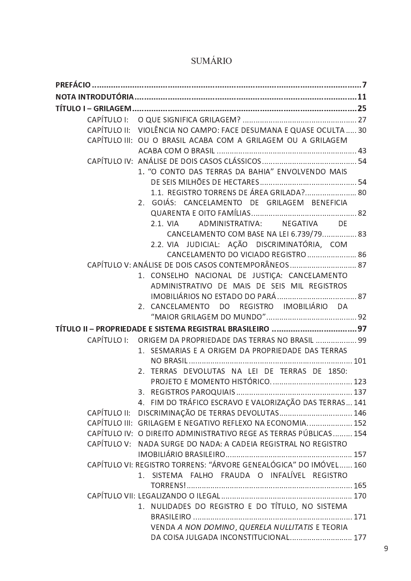|              | CAPÍTULO II: VIOLÊNCIA NO CAMPO: FACE DESUMANA E QUASE OCULTA  30  |  |
|--------------|--------------------------------------------------------------------|--|
|              | CAPÍTULO III: OU O BRASIL ACABA COM A GRILAGEM OU A GRILAGEM       |  |
|              |                                                                    |  |
|              |                                                                    |  |
|              | 1. "O CONTO DAS TERRAS DA BAHIA" ENVOLVENDO MAIS                   |  |
|              |                                                                    |  |
|              | 1.1. REGISTRO TORRENS DE ÁREA GRILADA? 80                          |  |
|              | 2. GOIÁS: CANCELAMENTO DE GRILAGEM BENEFICIA                       |  |
|              |                                                                    |  |
|              | NEGATIVA DE<br>ADMINISTRATIVA:<br>2.1. VIA                         |  |
|              | CANCELAMENTO COM BASE NA LEI 6.739/79 83                           |  |
|              | 2.2. VIA JUDICIAL: AÇÃO DISCRIMINATÓRIA, COM                       |  |
|              | CANCELAMENTO DO VICIADO REGISTRO  86                               |  |
|              | CAPÍTULO V: ANÁLISE DE DOIS CASOS CONTEMPORÂNEOS  87               |  |
|              | 1. CONSELHO NACIONAL DE JUSTIÇA: CANCELAMENTO                      |  |
|              | ADMINISTRATIVO DE MAIS DE SEIS MIL REGISTROS                       |  |
|              |                                                                    |  |
|              | 2. CANCELAMENTO DO REGISTRO IMOBILIÁRIO DA                         |  |
|              |                                                                    |  |
|              | TÍTULO II - PROPRIEDADE E SISTEMA REGISTRAL BRASILEIRO  97         |  |
| CAPÍTULO I:  | ORIGEM DA PROPRIEDADE DAS TERRAS NO BRASIL  99                     |  |
|              | 1. SESMARIAS E A ORIGEM DA PROPRIEDADE DAS TERRAS                  |  |
|              |                                                                    |  |
|              | TERRAS DEVOLUTAS NA LEI DE TERRAS DE 1850:<br>2.                   |  |
|              |                                                                    |  |
|              |                                                                    |  |
|              | 4. FIM DO TRÁFICO ESCRAVO E VALORIZAÇÃO DAS TERRAS 141             |  |
| CAPÍTULO II: | DISCRIMINAÇÃO DE TERRAS DEVOLUTAS 146                              |  |
|              | CAPÍTULO III: GRILAGEM E NEGATIVO REFLEXO NA ECONOMIA 152          |  |
|              | CAPÍTULO IV: O DIREITO ADMINISTRATIVO REGE AS TERRAS PÚBLICAS  154 |  |
| CAPÍTULO V:  | NADA SURGE DO NADA: A CADEIA REGISTRAL NO REGISTRO                 |  |
|              |                                                                    |  |
|              | CAPÍTULO VI: REGISTRO TORRENS: "ÁRVORE GENEALÓGICA" DO IMÓVEL 160  |  |
|              | 1. SISTEMA FALHO FRAUDA O INFALÍVEL REGISTRO                       |  |
|              |                                                                    |  |
|              |                                                                    |  |
|              | NULIDADES DO REGISTRO E DO TÍTULO, NO SISTEMA<br>1.                |  |
|              |                                                                    |  |
|              | VENDA A NON DOMINO, QUERELA NULLITATIS E TEORIA                    |  |
|              | DA COISA JULGADA INCONSTITUCIONAL 177                              |  |

## **SUMÁRIO**